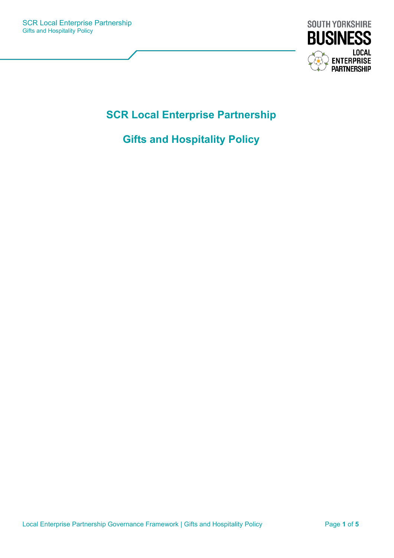

# **SCR Local Enterprise Partnership**

## **Gifts and Hospitality Policy**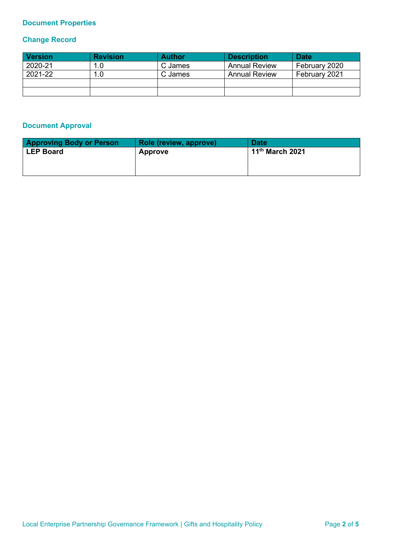## **Document Properties**

## **Change Record**

| <b>Version</b> | <b>Revision</b> | <b>Author</b> | <b>Description</b>   | <b>Date</b>   |
|----------------|-----------------|---------------|----------------------|---------------|
| 2020-21        | 1.0             | C James       | <b>Annual Review</b> | February 2020 |
| 2021-22        | 1.0             | C James       | <b>Annual Review</b> | February 2021 |
|                |                 |               |                      |               |
|                |                 |               |                      |               |

## **Document Approval**

| <b>Approving Body or Person</b> | <b>Role (review, approve)</b> | <b>Date</b>                 |
|---------------------------------|-------------------------------|-----------------------------|
| <b>LEP Board</b>                | <b>Approve</b>                | 11 <sup>th</sup> March 2021 |
|                                 |                               |                             |
|                                 |                               |                             |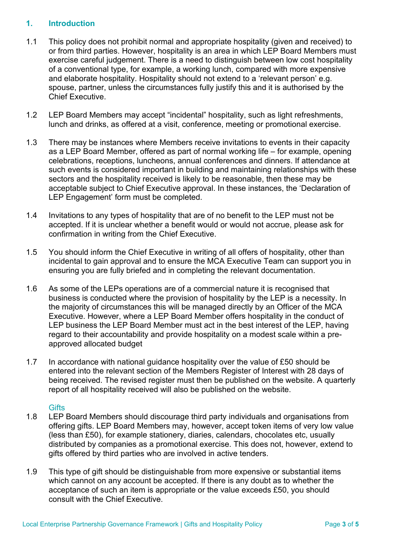### **1. Introduction**

- 1.1 This policy does not prohibit normal and appropriate hospitality (given and received) to or from third parties. However, hospitality is an area in which LEP Board Members must exercise careful judgement. There is a need to distinguish between low cost hospitality of a conventional type, for example, a working lunch, compared with more expensive and elaborate hospitality. Hospitality should not extend to a 'relevant person' e.g. spouse, partner, unless the circumstances fully justify this and it is authorised by the Chief Executive.
- 1.2 LEP Board Members may accept "incidental" hospitality, such as light refreshments, lunch and drinks, as offered at a visit, conference, meeting or promotional exercise.
- 1.3 There may be instances where Members receive invitations to events in their capacity as a LEP Board Member, offered as part of normal working life – for example, opening celebrations, receptions, luncheons, annual conferences and dinners. If attendance at such events is considered important in building and maintaining relationships with these sectors and the hospitality received is likely to be reasonable, then these may be acceptable subject to Chief Executive approval. In these instances, the 'Declaration of LEP Engagement' form must be completed.
- 1.4 Invitations to any types of hospitality that are of no benefit to the LEP must not be accepted. If it is unclear whether a benefit would or would not accrue, please ask for confirmation in writing from the Chief Executive.
- 1.5 You should inform the Chief Executive in writing of all offers of hospitality, other than incidental to gain approval and to ensure the MCA Executive Team can support you in ensuring you are fully briefed and in completing the relevant documentation.
- 1.6 As some of the LEPs operations are of a commercial nature it is recognised that business is conducted where the provision of hospitality by the LEP is a necessity. In the majority of circumstances this will be managed directly by an Officer of the MCA Executive. However, where a LEP Board Member offers hospitality in the conduct of LEP business the LEP Board Member must act in the best interest of the LEP, having regard to their accountability and provide hospitality on a modest scale within a preapproved allocated budget
- 1.7 In accordance with national guidance hospitality over the value of £50 should be entered into the relevant section of the Members Register of Interest with 28 days of being received. The revised register must then be published on the website. A quarterly report of all hospitality received will also be published on the website.

#### **Gifts**

- 1.8 LEP Board Members should discourage third party individuals and organisations from offering gifts. LEP Board Members may, however, accept token items of very low value (less than £50), for example stationery, diaries, calendars, chocolates etc, usually distributed by companies as a promotional exercise. This does not, however, extend to gifts offered by third parties who are involved in active tenders.
- 1.9 This type of gift should be distinguishable from more expensive or substantial items which cannot on any account be accepted. If there is any doubt as to whether the acceptance of such an item is appropriate or the value exceeds £50, you should consult with the Chief Executive.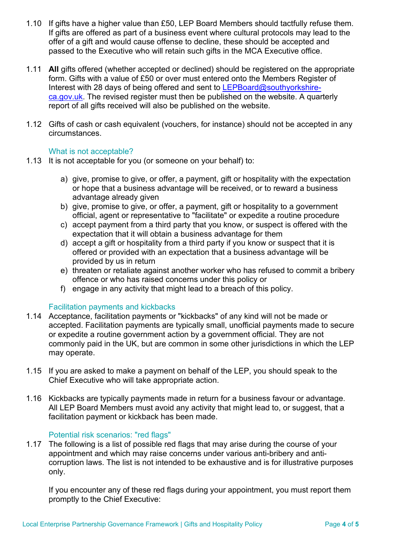- 1.10 If gifts have a higher value than £50, LEP Board Members should tactfully refuse them. If gifts are offered as part of a business event where cultural protocols may lead to the offer of a gift and would cause offense to decline, these should be accepted and passed to the Executive who will retain such gifts in the MCA Executive office.
- 1.11 **All** gifts offered (whether accepted or declined) should be registered on the appropriate form. Gifts with a value of £50 or over must entered onto the Members Register of Interest with 28 days of being offered and sent to  $LEPBoard@southyorkshire$ [ca.gov.uk.](mailto:LEPBoard@southyorkshire-ca.gov.uk) The revised register must then be published on the website. A quarterly report of all gifts received will also be published on the website.
- 1.12 Gifts of cash or cash equivalent (vouchers, for instance) should not be accepted in any circumstances.

#### What is not acceptable?

- 1.13 It is not acceptable for you (or someone on your behalf) to:
	- a) give, promise to give, or offer, a payment, gift or hospitality with the expectation or hope that a business advantage will be received, or to reward a business advantage already given
	- b) give, promise to give, or offer, a payment, gift or hospitality to a government official, agent or representative to "facilitate" or expedite a routine procedure
	- c) accept payment from a third party that you know, or suspect is offered with the expectation that it will obtain a business advantage for them
	- d) accept a gift or hospitality from a third party if you know or suspect that it is offered or provided with an expectation that a business advantage will be provided by us in return
	- e) threaten or retaliate against another worker who has refused to commit a bribery offence or who has raised concerns under this policy or
	- f) engage in any activity that might lead to a breach of this policy.

#### Facilitation payments and kickbacks

- 1.14 Acceptance, facilitation payments or "kickbacks" of any kind will not be made or accepted. Facilitation payments are typically small, unofficial payments made to secure or expedite a routine government action by a government official. They are not commonly paid in the UK, but are common in some other jurisdictions in which the LEP may operate.
- 1.15 If you are asked to make a payment on behalf of the LEP, you should speak to the Chief Executive who will take appropriate action.
- 1.16 Kickbacks are typically payments made in return for a business favour or advantage. All LEP Board Members must avoid any activity that might lead to, or suggest, that a facilitation payment or kickback has been made.

#### Potential risk scenarios: "red flags"

1.17 The following is a list of possible red flags that may arise during the course of your appointment and which may raise concerns under various anti-bribery and anticorruption laws. The list is not intended to be exhaustive and is for illustrative purposes only.

If you encounter any of these red flags during your appointment, you must report them promptly to the Chief Executive: